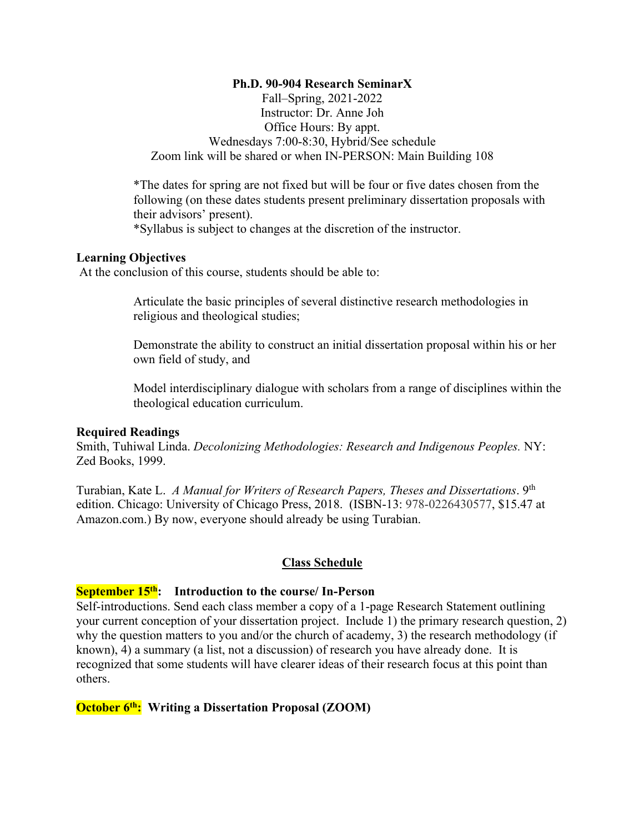### **Ph.D. 90-904 Research SeminarX**

Fall–Spring, 2021-2022 Instructor: Dr. Anne Joh Office Hours: By appt. Wednesdays 7:00-8:30, Hybrid/See schedule Zoom link will be shared or when IN-PERSON: Main Building 108

\*The dates for spring are not fixed but will be four or five dates chosen from the following (on these dates students present preliminary dissertation proposals with their advisors' present).

\*Syllabus is subject to changes at the discretion of the instructor.

### **Learning Objectives**

At the conclusion of this course, students should be able to:

Articulate the basic principles of several distinctive research methodologies in religious and theological studies;

Demonstrate the ability to construct an initial dissertation proposal within his or her own field of study, and

Model interdisciplinary dialogue with scholars from a range of disciplines within the theological education curriculum.

#### **Required Readings**

Smith, Tuhiwal Linda. *Decolonizing Methodologies: Research and Indigenous Peoples.* NY: Zed Books, 1999.

Turabian, Kate L. *A Manual for Writers of Research Papers, Theses and Dissertations*. 9th edition. Chicago: University of Chicago Press, 2018. (ISBN-13: 978-0226430577, \$15.47 at Amazon.com.) By now, everyone should already be using Turabian.

#### **Class Schedule**

#### **September 15th: Introduction to the course/ In-Person**

Self-introductions. Send each class member a copy of a 1-page Research Statement outlining your current conception of your dissertation project. Include 1) the primary research question, 2) why the question matters to you and/or the church of academy, 3) the research methodology (if known), 4) a summary (a list, not a discussion) of research you have already done. It is recognized that some students will have clearer ideas of their research focus at this point than others.

### **October 6th: Writing a Dissertation Proposal (ZOOM)**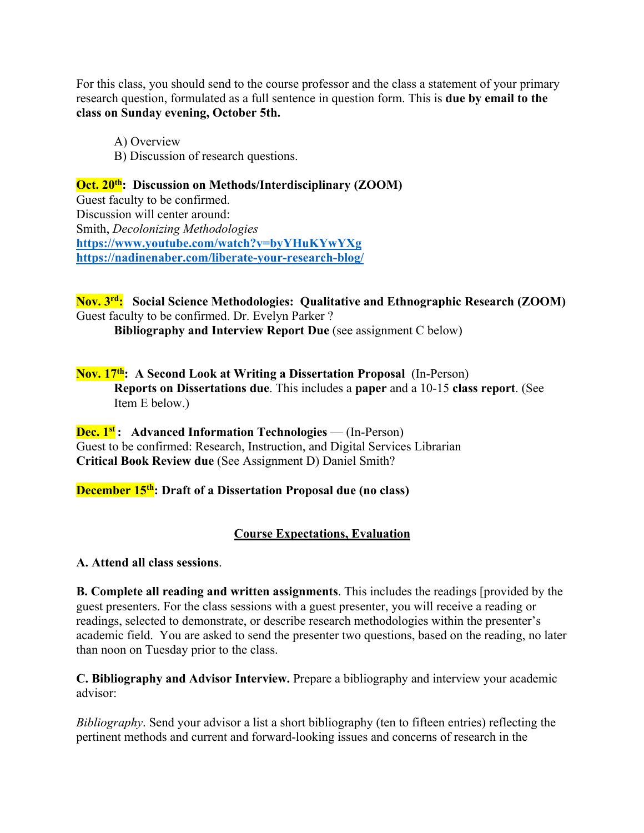For this class, you should send to the course professor and the class a statement of your primary research question, formulated as a full sentence in question form. This is **due by email to the class on Sunday evening, October 5th.** 

A) Overview B) Discussion of research questions.

# **Oct. 20<sup>th</sup>: Discussion on Methods/Interdisciplinary (ZOOM)**

Guest faculty to be confirmed. Discussion will center around: Smith, *Decolonizing Methodologies* **https://www.youtube.com/watch?v=byYHuKYwYXg https://nadinenaber.com/liberate-your-research-blog/**

**Nov. 3rd: Social Science Methodologies: Qualitative and Ethnographic Research (ZOOM)** Guest faculty to be confirmed. Dr. Evelyn Parker ?

**Bibliography and Interview Report Due** (see assignment C below)

## **Nov. 17th: A Second Look at Writing a Dissertation Proposal** (In-Person) **Reports on Dissertations due**. This includes a **paper** and a 10-15 **class report**. (See Item E below.)

**Dec. 1st :** Advanced Information Technologies — (In-Person) Guest to be confirmed: Research, Instruction, and Digital Services Librarian **Critical Book Review due** (See Assignment D) Daniel Smith?

# **December 15th: Draft of a Dissertation Proposal due (no class)**

# **Course Expectations, Evaluation**

### **A. Attend all class sessions**.

**B. Complete all reading and written assignments**. This includes the readings [provided by the guest presenters. For the class sessions with a guest presenter, you will receive a reading or readings, selected to demonstrate, or describe research methodologies within the presenter's academic field. You are asked to send the presenter two questions, based on the reading, no later than noon on Tuesday prior to the class.

**C. Bibliography and Advisor Interview.** Prepare a bibliography and interview your academic advisor:

*Bibliography*. Send your advisor a list a short bibliography (ten to fifteen entries) reflecting the pertinent methods and current and forward-looking issues and concerns of research in the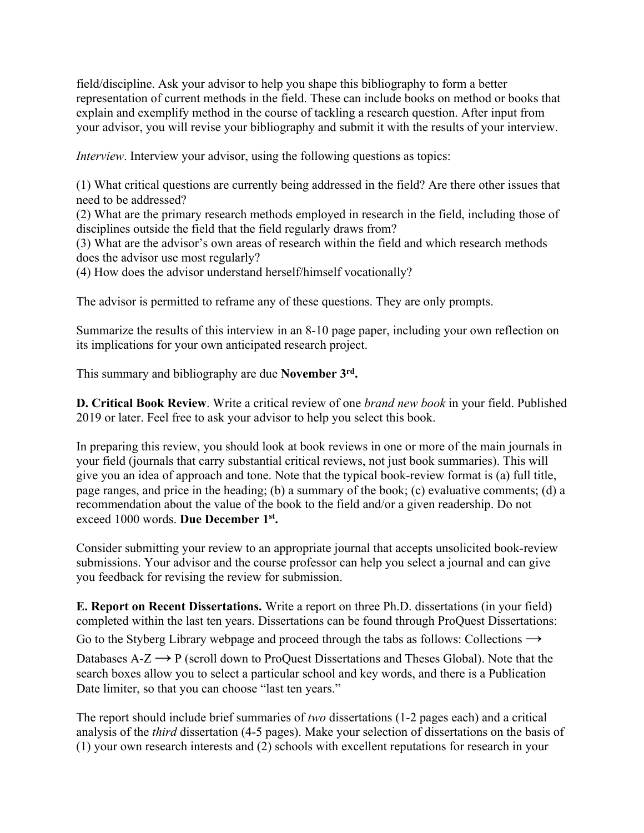field/discipline. Ask your advisor to help you shape this bibliography to form a better representation of current methods in the field. These can include books on method or books that explain and exemplify method in the course of tackling a research question. After input from your advisor, you will revise your bibliography and submit it with the results of your interview.

*Interview*. Interview your advisor, using the following questions as topics:

(1) What critical questions are currently being addressed in the field? Are there other issues that need to be addressed?

(2) What are the primary research methods employed in research in the field, including those of disciplines outside the field that the field regularly draws from?

(3) What are the advisor's own areas of research within the field and which research methods does the advisor use most regularly?

(4) How does the advisor understand herself/himself vocationally?

The advisor is permitted to reframe any of these questions. They are only prompts.

Summarize the results of this interview in an 8-10 page paper, including your own reflection on its implications for your own anticipated research project.

This summary and bibliography are due **November 3rd.** 

**D. Critical Book Review**. Write a critical review of one *brand new book* in your field. Published 2019 or later. Feel free to ask your advisor to help you select this book.

In preparing this review, you should look at book reviews in one or more of the main journals in your field (journals that carry substantial critical reviews, not just book summaries). This will give you an idea of approach and tone. Note that the typical book-review format is (a) full title, page ranges, and price in the heading; (b) a summary of the book; (c) evaluative comments; (d) a recommendation about the value of the book to the field and/or a given readership. Do not exceed 1000 words. **Due December 1st.**

Consider submitting your review to an appropriate journal that accepts unsolicited book-review submissions. Your advisor and the course professor can help you select a journal and can give you feedback for revising the review for submission.

**E. Report on Recent Dissertations.** Write a report on three Ph.D. dissertations (in your field) completed within the last ten years. Dissertations can be found through ProQuest Dissertations: Go to the Styberg Library webpage and proceed through the tabs as follows: Collections  $\rightarrow$ Databases  $A-Z \rightarrow P$  (scroll down to ProQuest Dissertations and Theses Global). Note that the search boxes allow you to select a particular school and key words, and there is a Publication Date limiter, so that you can choose "last ten years."

The report should include brief summaries of *two* dissertations (1-2 pages each) and a critical analysis of the *third* dissertation (4-5 pages). Make your selection of dissertations on the basis of (1) your own research interests and (2) schools with excellent reputations for research in your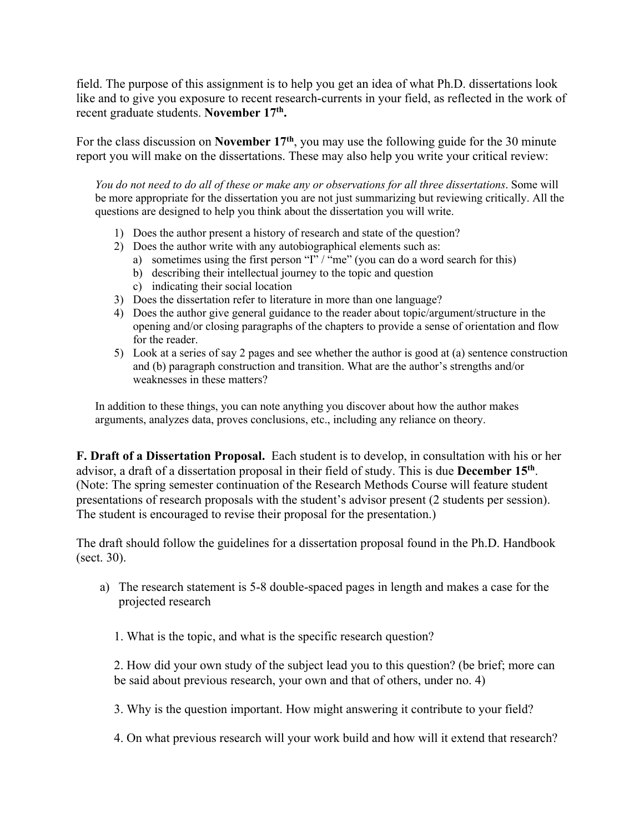field. The purpose of this assignment is to help you get an idea of what Ph.D. dissertations look like and to give you exposure to recent research-currents in your field, as reflected in the work of recent graduate students. **November 17th.** 

For the class discussion on **November 17th**, you may use the following guide for the 30 minute report you will make on the dissertations. These may also help you write your critical review:

*You do not need to do all of these or make any or observations for all three dissertations*. Some will be more appropriate for the dissertation you are not just summarizing but reviewing critically. All the questions are designed to help you think about the dissertation you will write.

- 1) Does the author present a history of research and state of the question?
- 2) Does the author write with any autobiographical elements such as:
	- a) sometimes using the first person " $I''$  / "me" (you can do a word search for this)
	- b) describing their intellectual journey to the topic and question
	- c) indicating their social location
- 3) Does the dissertation refer to literature in more than one language?
- 4) Does the author give general guidance to the reader about topic/argument/structure in the opening and/or closing paragraphs of the chapters to provide a sense of orientation and flow for the reader.
- 5) Look at a series of say 2 pages and see whether the author is good at (a) sentence construction and (b) paragraph construction and transition. What are the author's strengths and/or weaknesses in these matters?

In addition to these things, you can note anything you discover about how the author makes arguments, analyzes data, proves conclusions, etc., including any reliance on theory.

**F. Draft of a Dissertation Proposal.** Each student is to develop, in consultation with his or her advisor, a draft of a dissertation proposal in their field of study. This is due **December 15th**. (Note: The spring semester continuation of the Research Methods Course will feature student presentations of research proposals with the student's advisor present (2 students per session). The student is encouraged to revise their proposal for the presentation.)

The draft should follow the guidelines for a dissertation proposal found in the Ph.D. Handbook (sect. 30).

- a) The research statement is 5-8 double-spaced pages in length and makes a case for the projected research
	- 1. What is the topic, and what is the specific research question?

2. How did your own study of the subject lead you to this question? (be brief; more can be said about previous research, your own and that of others, under no. 4)

- 3. Why is the question important. How might answering it contribute to your field?
- 4. On what previous research will your work build and how will it extend that research?